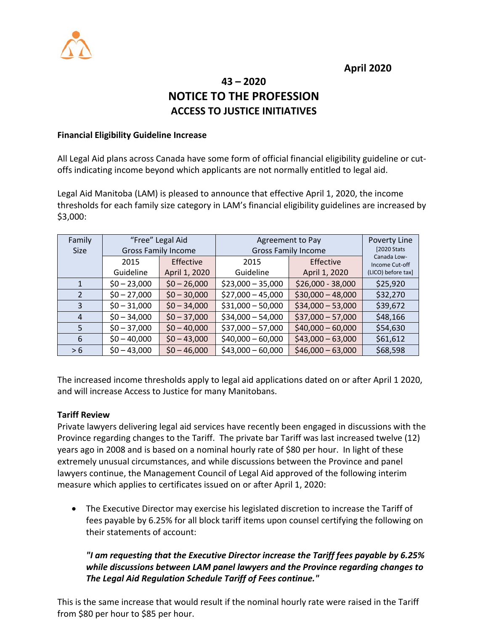

**April 2020**

# **43 – 2020 NOTICE TO THE PROFESSION ACCESS TO JUSTICE INITIATIVES**

#### **Financial Eligibility Guideline Increase**

All Legal Aid plans across Canada have some form of official financial eligibility guideline or cutoffs indicating income beyond which applicants are not normally entitled to legal aid.

Legal Aid Manitoba (LAM) is pleased to announce that effective April 1, 2020, the income thresholds for each family size category in LAM's financial eligibility guidelines are increased by \$3,000:

| Family         | "Free" Legal Aid           |               | Agreement to Pay           |                    | Poverty Line                  |
|----------------|----------------------------|---------------|----------------------------|--------------------|-------------------------------|
| <b>Size</b>    | <b>Gross Family Income</b> |               | <b>Gross Family Income</b> |                    | [2020 Stats]                  |
|                | 2015                       | Effective     | 2015                       | Effective          | Canada Low-<br>Income Cut-off |
|                | Guideline                  | April 1, 2020 | Guideline                  | April 1, 2020      | (LICO) before tax]            |
| 1              | $$0 - 23,000$              | $$0 - 26,000$ | $$23,000 - 35,000$         | $$26,000 - 38,000$ | \$25,920                      |
| $\overline{2}$ | $$0 - 27,000$              | $$0 - 30,000$ | $$27,000 - 45,000$         | $$30,000 - 48,000$ | \$32,270                      |
| 3              | $$0 - 31,000$              | $$0 - 34,000$ | $$31,000 - 50,000$         | $$34,000 - 53,000$ | \$39,672                      |
| 4              | $$0 - 34,000$              | $$0 - 37,000$ | $$34,000 - 54,000$         | $$37,000 - 57,000$ | \$48,166                      |
| 5              | $$0 - 37,000$              | $$0 - 40,000$ | $$37,000 - 57,000$         | $$40,000 - 60,000$ | \$54,630                      |
| 6              | $$0 - 40,000$              | $$0 - 43,000$ | $$40,000 - 60,000$         | $$43,000 - 63,000$ | \$61,612                      |
| > 6            | $$0 - 43,000$              | $$0 - 46,000$ | $$43,000 - 60,000$         | $$46,000 - 63,000$ | \$68,598                      |

The increased income thresholds apply to legal aid applications dated on or after April 1 2020, and will increase Access to Justice for many Manitobans.

#### **Tariff Review**

Private lawyers delivering legal aid services have recently been engaged in discussions with the Province regarding changes to the Tariff. The private bar Tariff was last increased twelve (12) years ago in 2008 and is based on a nominal hourly rate of \$80 per hour. In light of these extremely unusual circumstances, and while discussions between the Province and panel lawyers continue, the Management Council of Legal Aid approved of the following interim measure which applies to certificates issued on or after April 1, 2020:

• The Executive Director may exercise his legislated discretion to increase the Tariff of fees payable by 6.25% for all block tariff items upon counsel certifying the following on their statements of account:

### *"I am requesting that the Executive Director increase the Tariff fees payable by 6.25% while discussions between LAM panel lawyers and the Province regarding changes to The Legal Aid Regulation Schedule Tariff of Fees continue."*

This is the same increase that would result if the nominal hourly rate were raised in the Tariff from \$80 per hour to \$85 per hour.